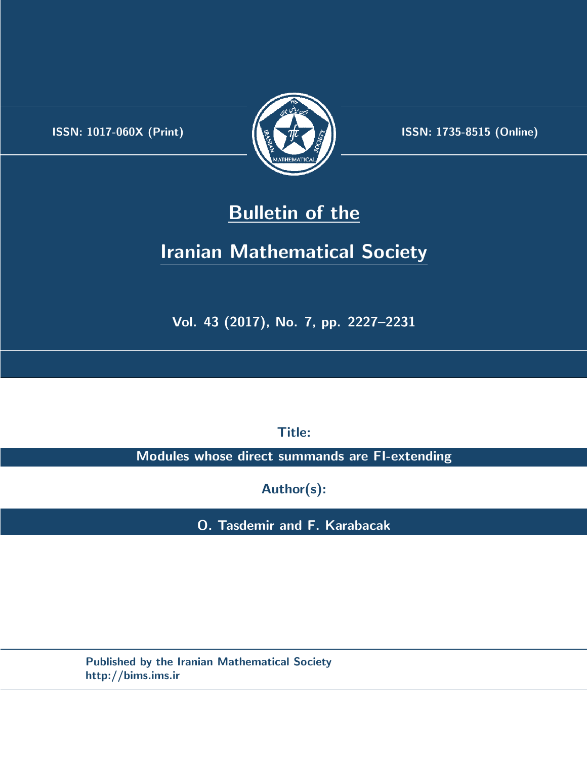.



**ISSN:** 1017-060X (Print) **ISSN:** 1735-8515 (Online)

## **Bulletin of the**

# **Iranian Mathematical Society**

**Vol. 43 (2017), No. 7, pp. 2227–2231**

**Title:**

**Modules whose direct summands are FI-extending**

**Author(s):**

**O. Tasdemir and F. Karabacak**

**Published by the Iranian Mathematical Society http://bims.ims.ir**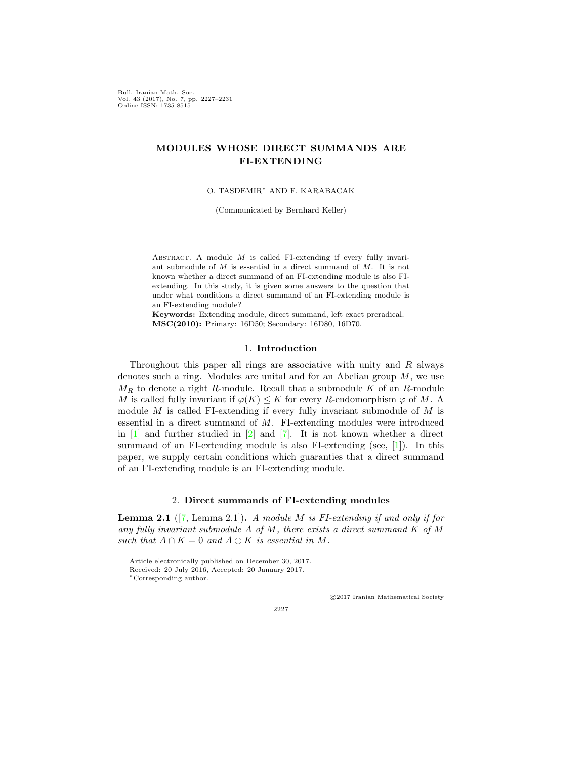Bull. Iranian Math. Soc. Vol. 43 (2017), No. 7, pp. 2227–2231 Online ISSN: 1735-8515

### **MODULES WHOSE DIRECT SUMMANDS ARE FI-EXTENDING**

O. TASDEMIR*∗* AND F. KARABACAK

(Communicated by Bernhard Keller)

ABSTRACT. A module *M* is called FI-extending if every fully invariant submodule of *M* is essential in a direct summand of *M*. It is not known whether a direct summand of an FI-extending module is also FIextending. In this study, it is given some answers to the question that under what conditions a direct summand of an FI-extending module is an FI-extending module?

**Keywords:** Extending module, direct summand, left exact preradical. **MSC(2010):** Primary: 16D50; Secondary: 16D80, 16D70.

#### 1. **Introduction**

Throughout this paper all rings are associative with unity and *R* always denotes such a ring. Modules are unital and for an Abelian group *M*, we use  $M_R$  to denote a right *R*-module. Recall that a submodule *K* of an *R*-module *M* is called fully invariant if  $\varphi(K) \leq K$  for every *R*-endomorphism  $\varphi$  of *M*. A module *M* is called FI-extending if every fully invariant submodule of *M* is essential in a direct summand of *M*. FI-extending modules were introduced in  $[1]$  $[1]$  and further studied in  $[2]$  $[2]$  and  $[7]$  $[7]$ . It is not known whether a direct summand of an FI-extending module is also FI-extending (see, [[1\]](#page-5-0)). In this paper, we supply certain conditions which guaranties that a direct summand of an FI-extending module is an FI-extending module.

### 2. **Direct summands of FI-extending modules**

<span id="page-1-0"></span>**Lemma 2.1** ([[7,](#page-5-2) Lemma 2.1])**.** *A module M is FI-extending if and only if for any fully invariant submodule A of M, there exists a direct summand K of M such that*  $A \cap K = 0$  *and*  $A \oplus K$  *is essential in M*.

*⃝*c 2017 Iranian Mathematical Society

Article electronically published on December 30, 2017.

Received: 20 July 2016, Accepted: 20 January 2017.

*<sup>∗</sup>*Corresponding author.

<sup>2227</sup>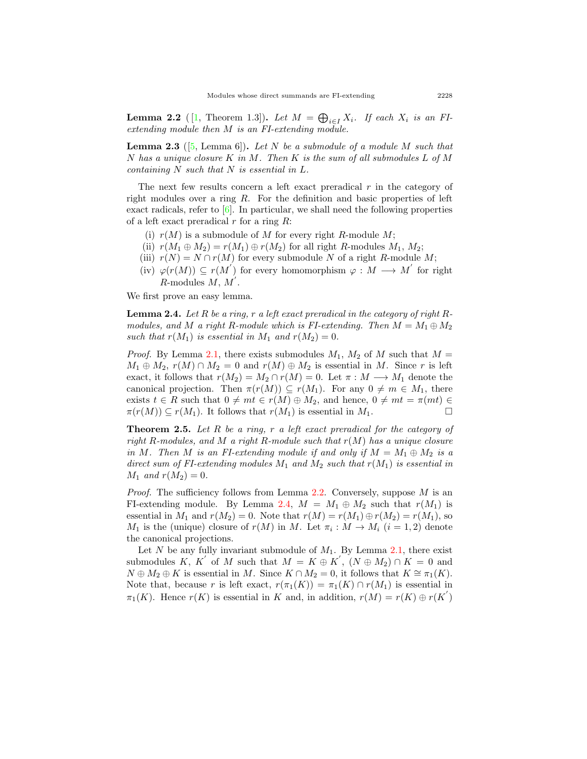<span id="page-2-0"></span>**Lemma 2.2** ( [\[1](#page-5-0), Theorem 1.3]). Let  $M = \bigoplus_{i \in I} X_i$ . If each  $X_i$  is an FI*extending module then M is an FI-extending module.*

<span id="page-2-2"></span>**Lemma 2.3** ([[5](#page-5-3), Lemma 6])**.** *Let N be a submodule of a module M such that N has a unique closure K in M. Then K is the sum of all submodules L of M containing N such that N is essential in L.*

The next few results concern a left exact preradical *r* in the category of right modules over a ring *R*. For the definition and basic properties of left exact radicals, refer to [\[6](#page-5-4)]. In particular, we shall need the following properties of a left exact preradical *r* for a ring *R*:

- (i)  $r(M)$  is a submodule of M for every right R-module M;
- (ii)  $r(M_1 \oplus M_2) = r(M_1) \oplus r(M_2)$  for all right *R*-modules  $M_1, M_2$ ;
- (iii)  $r(N) = N \cap r(M)$  for every submodule *N* of a right *R*-module *M*;
- (iv)  $\varphi(r(M)) \subseteq r(M')$  for every homomorphism  $\varphi : M \longrightarrow M'$  for right *R*-modules *M*, *M ′* .

We first prove an easy lemma.

<span id="page-2-1"></span>**Lemma 2.4.** *Let R be a ring, r a left exact preradical in the category of right Rmodules, and M a right R-module which is FI-extending. Then*  $M = M_1 \oplus M_2$ *such that*  $r(M_1)$  *is essential in*  $M_1$  *and*  $r(M_2) = 0$ *.* 

*Proof.* By Lemma [2.1,](#page-1-0) there exists submodules  $M_1$ ,  $M_2$  of  $M$  such that  $M =$  $M_1 \oplus M_2$ ,  $r(M) \cap M_2 = 0$  and  $r(M) \oplus M_2$  is essential in *M*. Since *r* is left exact, it follows that  $r(M_2) = M_2 \cap r(M) = 0$ . Let  $\pi : M \longrightarrow M_1$  denote the canonical projection. Then  $\pi(r(M)) \subseteq r(M_1)$ . For any  $0 \neq m \in M_1$ , there exists *t* ∈ *R* such that  $0 \neq mt \in r(M) ⊕ M_2$ , and hence,  $0 \neq mt = π(mt) ∈$ <br> $π(r(M)) ⊂ r(M_1)$ . It follows that  $r(M_1)$  is essential in  $M_1$ .  $\pi(r(M)) \subseteq r(M_1)$ . It follows that  $r(M_1)$  is essential in  $M_1$ .

**Theorem 2.5.** *Let R be a ring, r a left exact preradical for the category of right R-modules, and M a right R-module such that r*(*M*) *has a unique closure in M.* Then *M is an FI-extending module if and only if*  $M = M_1 \oplus M_2$  *is a direct sum of FI-extending modules M*<sup>1</sup> *and M*<sup>2</sup> *such that r*(*M*1) *is essential in M*<sub>1</sub> *and*  $r(M_2) = 0$ *.* 

*Proof.* The sufficiency follows from Lemma [2.2](#page-2-0). Conversely, suppose *M* is an FI-extending module. By Lemma [2.4,](#page-2-1)  $M = M_1 \oplus M_2$  such that  $r(M_1)$  is essential in  $M_1$  and  $r(M_2) = 0$ . Note that  $r(M) = r(M_1) \oplus r(M_2) = r(M_1)$ , so *M*<sub>1</sub> is the (unique) closure of  $r(M)$  in *M*. Let  $\pi_i : M \to M_i$  ( $i = 1, 2$ ) denote the canonical projections.

Let *N* be any fully invariant submodule of  $M_1$ . By Lemma [2.1](#page-1-0), there exist submodules *K*, *K*<sup>'</sup> of *M* such that  $M = K \oplus K'$ ,  $(N \oplus M_2) \cap K = 0$  and  $N \oplus M_2 \oplus K$  is essential in *M*. Since  $K \cap M_2 = 0$ , it follows that  $K \cong \pi_1(K)$ . Note that, because *r* is left exact,  $r(\pi_1(K)) = \pi_1(K) \cap r(M_1)$  is essential in *π*<sub>1</sub>(*K*). Hence *r*(*K*) is essential in *K* and, in addition,  $r(M) = r(K) \oplus r(K')$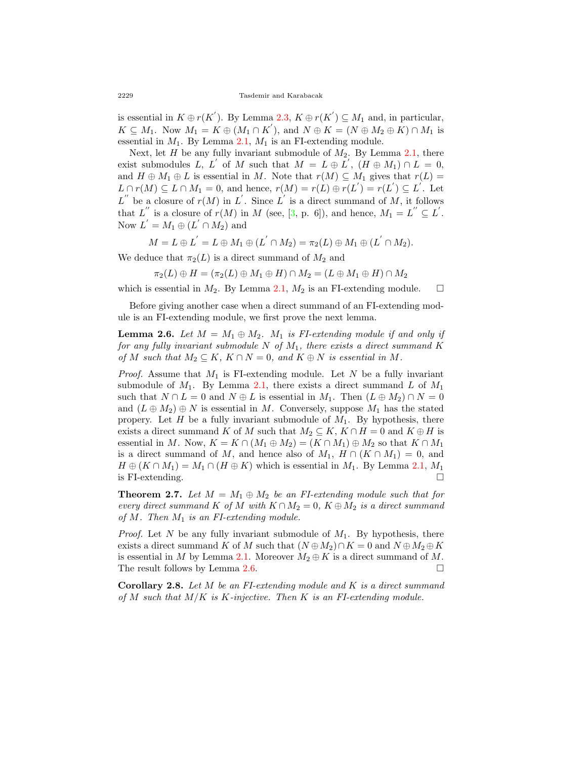is essential in  $K \oplus r(K')$ . By Lemma [2.3](#page-2-2),  $K \oplus r(K') \subseteq M_1$  and, in particular,  $K \subseteq M_1$ . Now  $M_1 = K \oplus (M_1 \cap K')$ , and  $N \oplus K = (N \oplus M_2 \oplus K) \cap M_1$  is essential in *M*1. By Lemma [2.1,](#page-1-0) *M*<sup>1</sup> is an FI-extending module.

Next, let *H* be any fully invariant submodule of *M*2. By Lemma [2.1,](#page-1-0) there exist submodules *L*, *L*<sup>*'*</sup> of *M* such that  $M = L \oplus L^{'}$ ,  $(H \oplus M_1) \cap L = 0$ , and  $H \oplus M_1 \oplus L$  is essential in *M*. Note that  $r(M) \subseteq M_1$  gives that  $r(L) =$  $L \cap r(M) \subseteq L \cap M_1 = 0$ , and hence,  $r(M) = r(L) \oplus r(L') = r(L') \subseteq L'$ . Let  $L''$  be a closure of  $r(M)$  in  $L'$ . Since  $L'$  is a direct summand of *M*, it follows that  $L''$  is a closure of  $r(M)$  in M (see, [\[3](#page-5-5), p. 6]), and hence,  $M_1 = L'' \subseteq L'$ . Now  $L' = M_1 \oplus (L' \cap M_2)$  and

$$
M = L \oplus L^{'} = L \oplus M_1 \oplus (L^{'} \cap M_2) = \pi_2(L) \oplus M_1 \oplus (L^{'} \cap M_2).
$$

We deduce that  $\pi_2(L)$  is a direct summand of  $M_2$  and

$$
\pi_2(L) \oplus H = (\pi_2(L) \oplus M_1 \oplus H) \cap M_2 = (L \oplus M_1 \oplus H) \cap M_2
$$

which is essential in  $M_2$ . By Lemma [2.1](#page-1-0),  $M_2$  is an FI-extending module.  $\Box$ 

Before giving another case when a direct summand of an FI-extending module is an FI-extending module, we first prove the next lemma.

<span id="page-3-0"></span>**Lemma 2.6.** *Let*  $M = M_1 \oplus M_2$ *.*  $M_1$  *is FI-extending module if and only if for any fully invariant submodule*  $N$  *of*  $M_1$ *, there exists a direct summand*  $K$ *of M such that*  $M_2 \subseteq K$ *,*  $K \cap N = 0$ *, and*  $K \oplus N$  *is essential in M.* 

*Proof.* Assume that *M*<sup>1</sup> is FI-extending module. Let *N* be a fully invariant submodule of  $M_1$ . By Lemma [2.1](#page-1-0), there exists a direct summand  $L$  of  $M_1$ such that  $N \cap L = 0$  and  $N \oplus L$  is essential in  $M_1$ . Then  $(L \oplus M_2) \cap N = 0$ and  $(L \oplus M_2) \oplus N$  is essential in *M*. Conversely, suppose  $M_1$  has the stated propery. Let *H* be a fully invariant submodule of  $M_1$ . By hypothesis, there exists a direct summand *K* of *M* such that  $M_2 \subseteq K$ ,  $K \cap H = 0$  and  $K \oplus H$  is essential in *M*. Now,  $K = K \cap (M_1 \oplus M_2) = (K \cap M_1) \oplus M_2$  so that  $K \cap M_1$ is a direct summand of *M*, and hence also of  $M_1$ ,  $H \cap (K \cap M_1) = 0$ , and  $H \oplus (K \cap M_1) = M_1 \cap (H \oplus K)$  which is essential in  $M_1$ . By Lemma [2.1,](#page-1-0)  $M_1$  is FI-extending. is FI-extending.

<span id="page-3-1"></span>**Theorem 2.7.** Let  $M = M_1 \oplus M_2$  be an FI-extending module such that for *every direct summand K of M with*  $K \cap M_2 = 0$ ,  $K \oplus M_2$  *is a direct summand of M. Then M*<sup>1</sup> *is an FI-extending module.*

*Proof.* Let *N* be any fully invariant submodule of *M*1. By hypothesis, there exists a direct summand *K* of *M* such that  $(N \oplus M_2) \cap K = 0$  and  $N \oplus M_2 \oplus K$ is essential in *M* by Lemma [2.1](#page-1-0). Moreover  $M_2 \oplus K$  is a direct summand of *M*.<br>The result follows by Lemma 2.6. The result follows by Lemma  $2.6$ .

<span id="page-3-2"></span>**Corollary 2.8.** *Let M be an FI-extending module and K is a direct summand of M such that M/K is K-injective. Then K is an FI-extending module.*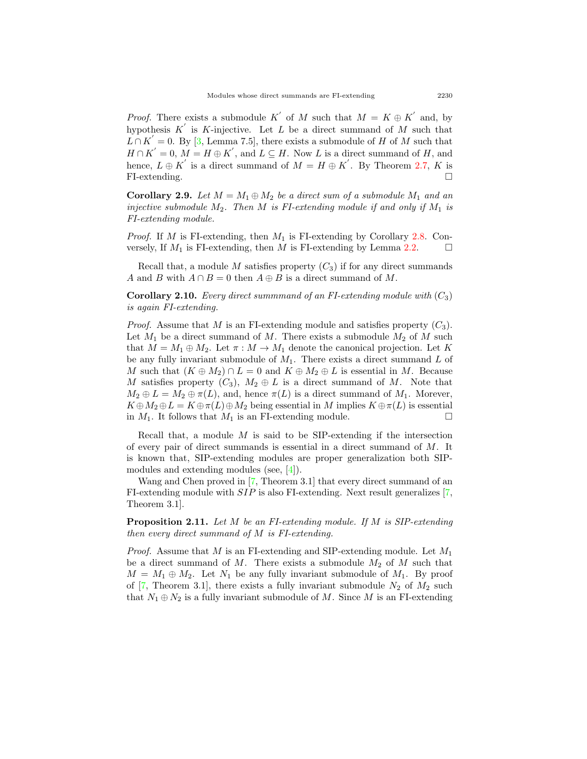*Proof.* There exists a submodule *K*<sup>'</sup> of *M* such that  $M = K \oplus K'$  and, by hypothesis  $K'$  is  $K$ -injective. Let  $L$  be a direct summand of  $M$  such that  $L \cap K' = 0$ . By [\[3](#page-5-5), Lemma 7.5], there exists a submodule of *H* of *M* such that  $H \cap K' = 0$ ,  $M = H \oplus K'$ , and  $L \subseteq H$ . Now *L* is a direct summand of *H*, and hence,  $L \oplus K'$  is a direct summand of  $M = H \oplus K'$ . By Theorem [2.7,](#page-3-1) K is FI-extending.  $\Box$ 

**Corollary 2.9.** Let  $M = M_1 \oplus M_2$  be a direct sum of a submodule  $M_1$  and an *injective submodule*  $M_2$ . Then  $M$  *is FI-extending module if and only if*  $M_1$  *is FI-extending module.*

*Proof.* If *M* is FI-extending, then *M*<sup>1</sup> is FI-extending by Corollary [2.8.](#page-3-2) Conversely, If  $M_1$  is FI-extending, then  $M$  is FI-extending by Lemma [2.2](#page-2-0).  $\Box$ 

Recall that, a module *M* satisfies property  $(C_3)$  if for any direct summands *A* and *B* with  $A \cap B = 0$  then  $A \oplus B$  is a direct summand of *M*.

**Corollary 2.10.** *Every direct summmand of an FI-extending module with*  $(C_3)$ *is again FI-extending.*

*Proof.* Assume that *M* is an FI-extending module and satisfies property (*C*3). Let  $M_1$  be a direct summand of  $M$ . There exists a submodule  $M_2$  of  $M$  such that  $M = M_1 \oplus M_2$ . Let  $\pi : M \to M_1$  denote the canonical projection. Let K be any fully invariant submodule of *M*1. There exists a direct summand *L* of *M* such that  $(K \oplus M_2) \cap L = 0$  and  $K \oplus M_2 \oplus L$  is essential in *M*. Because *M* satisfies property  $(C_3)$ ,  $M_2 \oplus L$  is a direct summand of *M*. Note that  $M_2 \oplus L = M_2 \oplus \pi(L)$ , and, hence  $\pi(L)$  is a direct summand of  $M_1$ . Morever,  $K \oplus M_2 \oplus L = K \oplus \pi(L) \oplus M_2$  being essential in *M* implies  $K \oplus \pi(L)$  is essential in *M*<sub>1</sub>. It follows that *M*<sub>1</sub> is an FI-extending module. in  $M_1$ . It follows that  $M_1$  is an FI-extending module.

Recall that, a module *M* is said to be SIP-extending if the intersection of every pair of direct summands is essential in a direct summand of *M*. It is known that, SIP-extending modules are proper generalization both SIPmodules and extending modules (see, [[4\]](#page-5-6)).

Wang and Chen proved in [[7](#page-5-2), Theorem 3.1] that every direct summand of an FI-extending module with *SIP* is also FI-extending. Next result generalizes [[7](#page-5-2), Theorem 3.1].

**Proposition 2.11.** *Let M be an FI-extending module. If M is SIP-extending then every direct summand of M is FI-extending.*

*Proof.* Assume that *M* is an FI-extending and SIP-extending module. Let *M*<sup>1</sup> be a direct summand of  $M$ . There exists a submodule  $M_2$  of  $M$  such that  $M = M_1 \oplus M_2$ . Let  $N_1$  be any fully invariant submodule of  $M_1$ . By proof of  $[7,$  $[7,$  Theorem 3.1, there exists a fully invariant submodule  $N_2$  of  $M_2$  such that  $N_1 \oplus N_2$  is a fully invariant submodule of M. Since M is an FI-extending